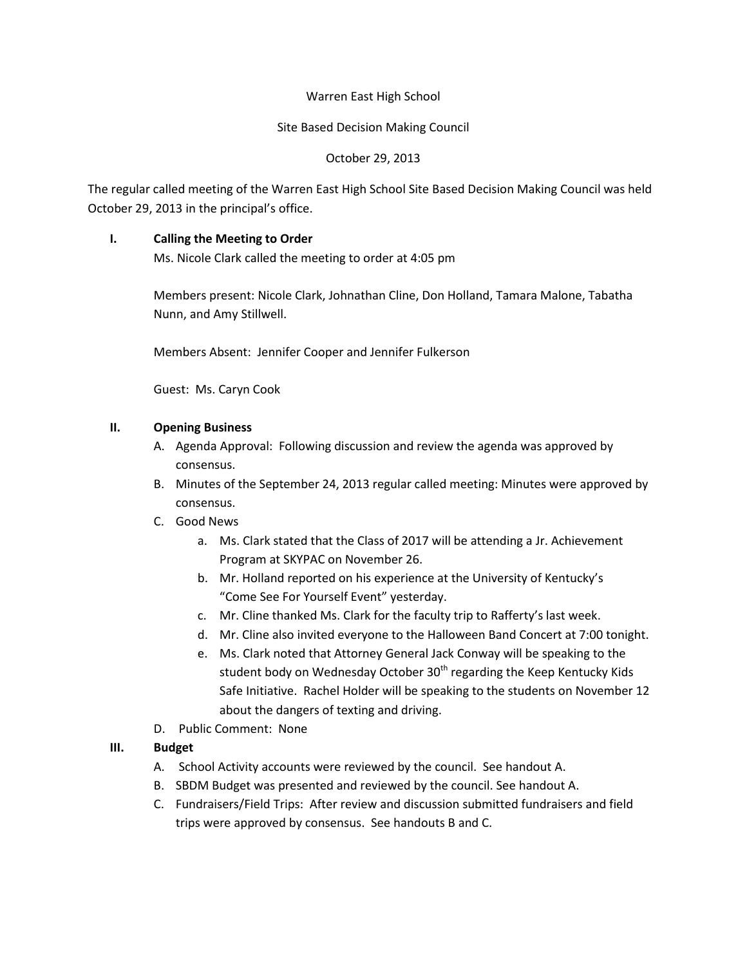### Warren East High School

### Site Based Decision Making Council

# October 29, 2013

The regular called meeting of the Warren East High School Site Based Decision Making Council was held October 29, 2013 in the principal's office.

# **I. Calling the Meeting to Order**

Ms. Nicole Clark called the meeting to order at 4:05 pm

Members present: Nicole Clark, Johnathan Cline, Don Holland, Tamara Malone, Tabatha Nunn, and Amy Stillwell.

Members Absent: Jennifer Cooper and Jennifer Fulkerson

Guest: Ms. Caryn Cook

## **II. Opening Business**

- A. Agenda Approval: Following discussion and review the agenda was approved by consensus.
- B. Minutes of the September 24, 2013 regular called meeting: Minutes were approved by consensus.
- C. Good News
	- a. Ms. Clark stated that the Class of 2017 will be attending a Jr. Achievement Program at SKYPAC on November 26.
	- b. Mr. Holland reported on his experience at the University of Kentucky's "Come See For Yourself Event" yesterday.
	- c. Mr. Cline thanked Ms. Clark for the faculty trip to Rafferty's last week.
	- d. Mr. Cline also invited everyone to the Halloween Band Concert at 7:00 tonight.
	- e. Ms. Clark noted that Attorney General Jack Conway will be speaking to the student body on Wednesday October 30<sup>th</sup> regarding the Keep Kentucky Kids Safe Initiative. Rachel Holder will be speaking to the students on November 12 about the dangers of texting and driving.
- D. Public Comment: None

# **III. Budget**

- A. School Activity accounts were reviewed by the council. See handout A.
- B. SBDM Budget was presented and reviewed by the council. See handout A.
- C. Fundraisers/Field Trips: After review and discussion submitted fundraisers and field trips were approved by consensus. See handouts B and C.